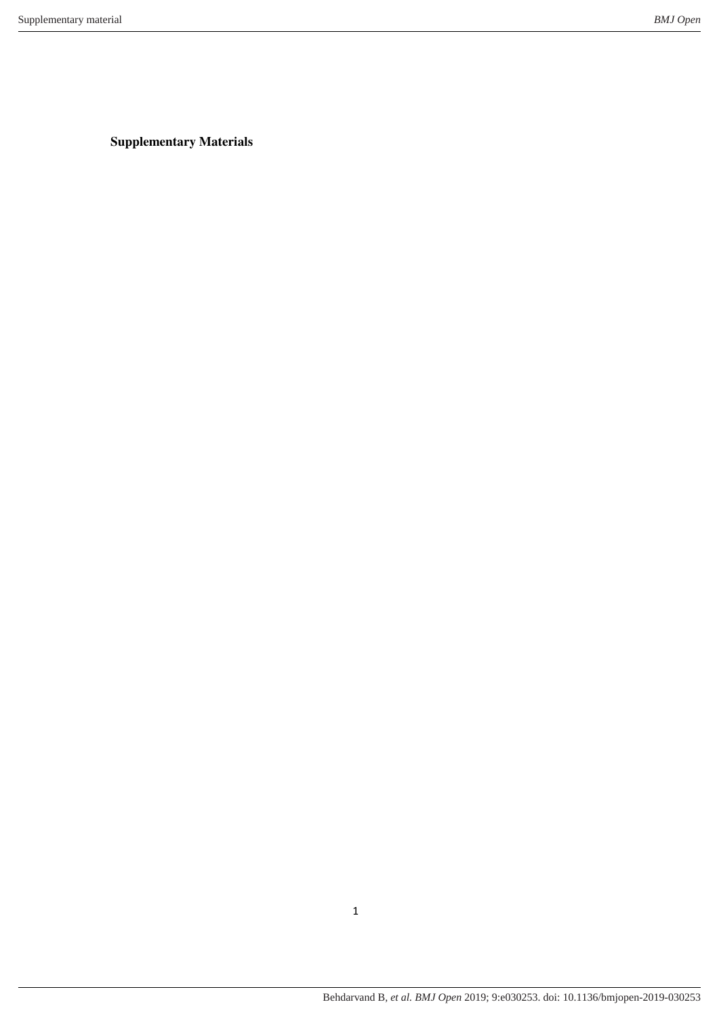**Supplementary Materials**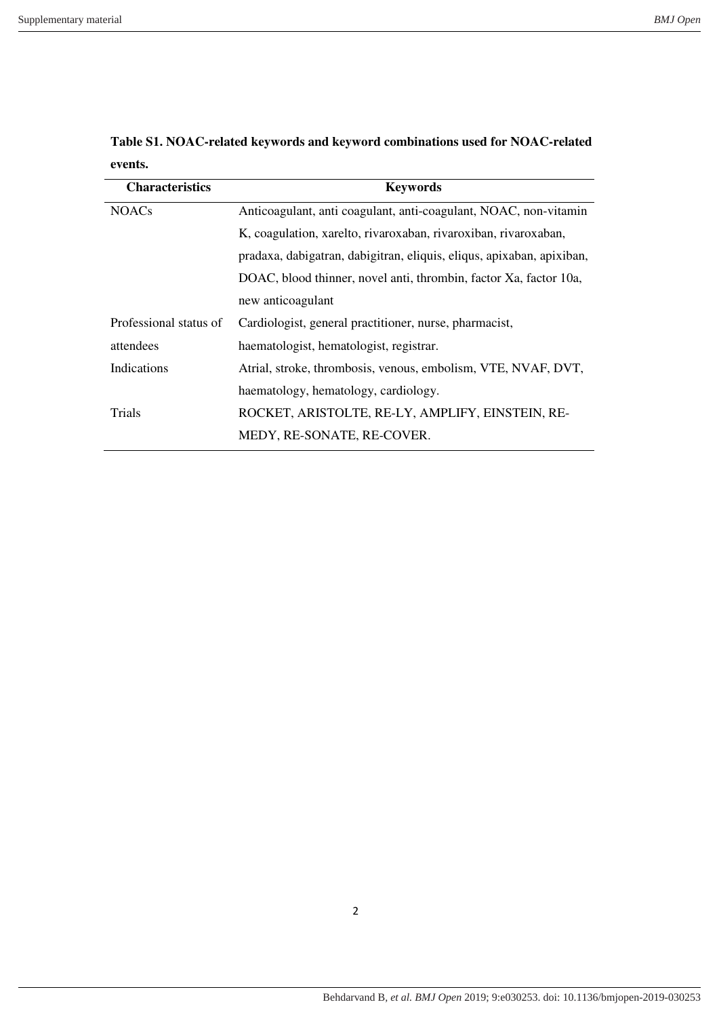| <b>Characteristics</b> | <b>Keywords</b>                                                        |
|------------------------|------------------------------------------------------------------------|
| <b>NOACs</b>           | Anticoagulant, anti coagulant, anti-coagulant, NOAC, non-vitamin       |
|                        | K, coagulation, xarelto, rivaroxaban, rivaroxiban, rivaroxaban,        |
|                        | pradaxa, dabigatran, dabigitran, eliquis, eliquis, apixaban, apixiban, |
|                        | DOAC, blood thinner, novel anti, thrombin, factor Xa, factor 10a,      |
|                        | new anticoagulant                                                      |
| Professional status of | Cardiologist, general practitioner, nurse, pharmacist,                 |
| attendees              | haematologist, hematologist, registrar.                                |
| Indications            | Atrial, stroke, thrombosis, venous, embolism, VTE, NVAF, DVT,          |
|                        | haematology, hematology, cardiology.                                   |
| Trials                 | ROCKET, ARISTOLTE, RE-LY, AMPLIFY, EINSTEIN, RE-                       |
|                        | MEDY, RE-SONATE, RE-COVER.                                             |
|                        |                                                                        |

**Table S1. NOAC-related keywords and keyword combinations used for NOAC-related events.**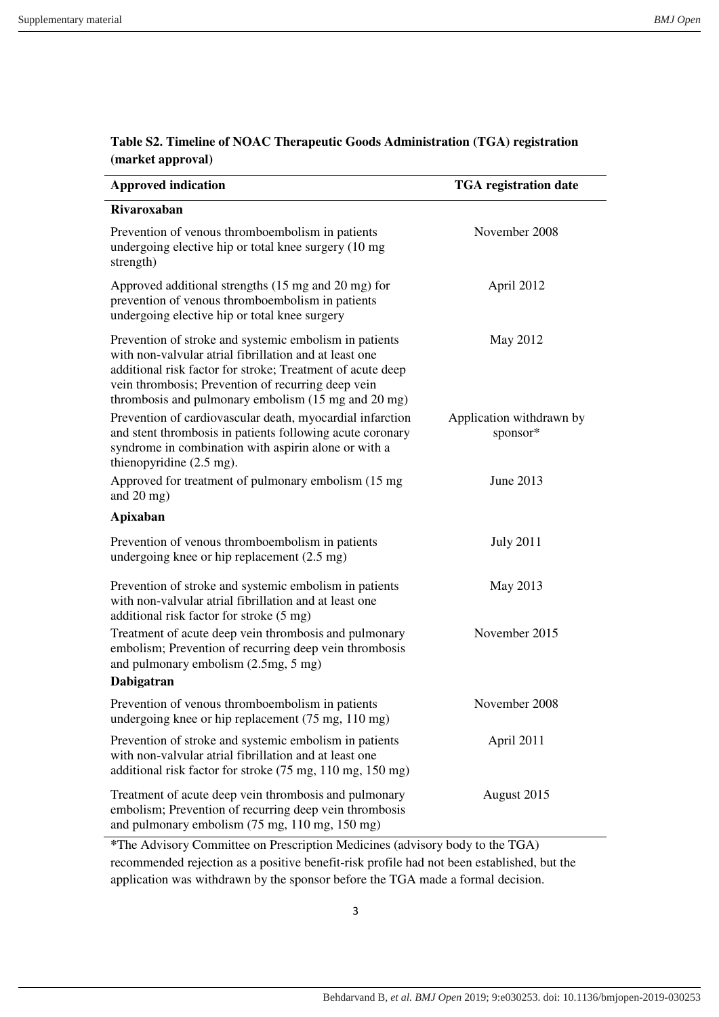| Rivaroxaban<br>November 2008<br>Prevention of venous thromboembolism in patients<br>undergoing elective hip or total knee surgery (10 mg<br>strength)<br>Approved additional strengths (15 mg and 20 mg) for<br>April 2012<br>prevention of venous thromboembolism in patients<br>undergoing elective hip or total knee surgery<br>Prevention of stroke and systemic embolism in patients<br>May 2012<br>with non-valvular atrial fibrillation and at least one<br>additional risk factor for stroke; Treatment of acute deep<br>vein thrombosis; Prevention of recurring deep vein<br>thrombosis and pulmonary embolism (15 mg and 20 mg)<br>Prevention of cardiovascular death, myocardial infarction<br>Application withdrawn by<br>sponsor*<br>and stent thrombosis in patients following acute coronary<br>syndrome in combination with aspirin alone or with a<br>thienopyridine $(2.5 \text{ mg})$ .<br>June 2013<br>Approved for treatment of pulmonary embolism (15 mg)<br>and $20 \text{ mg}$ )<br>Apixaban<br>Prevention of venous thromboembolism in patients<br><b>July 2011</b><br>undergoing knee or hip replacement (2.5 mg)<br>May 2013<br>Prevention of stroke and systemic embolism in patients<br>with non-valvular atrial fibrillation and at least one<br>additional risk factor for stroke (5 mg)<br>Treatment of acute deep vein thrombosis and pulmonary<br>November 2015<br>embolism; Prevention of recurring deep vein thrombosis<br>and pulmonary embolism (2.5mg, 5 mg)<br>Dabigatran<br>Prevention of venous thromboembolism in patients<br>November 2008<br>undergoing knee or hip replacement (75 mg, 110 mg)<br>Prevention of stroke and systemic embolism in patients<br>April 2011<br>with non-valvular atrial fibrillation and at least one | <b>Approved indication</b> | <b>TGA</b> registration date |
|---------------------------------------------------------------------------------------------------------------------------------------------------------------------------------------------------------------------------------------------------------------------------------------------------------------------------------------------------------------------------------------------------------------------------------------------------------------------------------------------------------------------------------------------------------------------------------------------------------------------------------------------------------------------------------------------------------------------------------------------------------------------------------------------------------------------------------------------------------------------------------------------------------------------------------------------------------------------------------------------------------------------------------------------------------------------------------------------------------------------------------------------------------------------------------------------------------------------------------------------------------------------------------------------------------------------------------------------------------------------------------------------------------------------------------------------------------------------------------------------------------------------------------------------------------------------------------------------------------------------------------------------------------------------------------------------------------------------------------------------------------------------------------|----------------------------|------------------------------|
|                                                                                                                                                                                                                                                                                                                                                                                                                                                                                                                                                                                                                                                                                                                                                                                                                                                                                                                                                                                                                                                                                                                                                                                                                                                                                                                                                                                                                                                                                                                                                                                                                                                                                                                                                                                 |                            |                              |
|                                                                                                                                                                                                                                                                                                                                                                                                                                                                                                                                                                                                                                                                                                                                                                                                                                                                                                                                                                                                                                                                                                                                                                                                                                                                                                                                                                                                                                                                                                                                                                                                                                                                                                                                                                                 |                            |                              |
|                                                                                                                                                                                                                                                                                                                                                                                                                                                                                                                                                                                                                                                                                                                                                                                                                                                                                                                                                                                                                                                                                                                                                                                                                                                                                                                                                                                                                                                                                                                                                                                                                                                                                                                                                                                 |                            |                              |
|                                                                                                                                                                                                                                                                                                                                                                                                                                                                                                                                                                                                                                                                                                                                                                                                                                                                                                                                                                                                                                                                                                                                                                                                                                                                                                                                                                                                                                                                                                                                                                                                                                                                                                                                                                                 |                            |                              |
|                                                                                                                                                                                                                                                                                                                                                                                                                                                                                                                                                                                                                                                                                                                                                                                                                                                                                                                                                                                                                                                                                                                                                                                                                                                                                                                                                                                                                                                                                                                                                                                                                                                                                                                                                                                 |                            |                              |
|                                                                                                                                                                                                                                                                                                                                                                                                                                                                                                                                                                                                                                                                                                                                                                                                                                                                                                                                                                                                                                                                                                                                                                                                                                                                                                                                                                                                                                                                                                                                                                                                                                                                                                                                                                                 |                            |                              |
|                                                                                                                                                                                                                                                                                                                                                                                                                                                                                                                                                                                                                                                                                                                                                                                                                                                                                                                                                                                                                                                                                                                                                                                                                                                                                                                                                                                                                                                                                                                                                                                                                                                                                                                                                                                 |                            |                              |
|                                                                                                                                                                                                                                                                                                                                                                                                                                                                                                                                                                                                                                                                                                                                                                                                                                                                                                                                                                                                                                                                                                                                                                                                                                                                                                                                                                                                                                                                                                                                                                                                                                                                                                                                                                                 |                            |                              |
|                                                                                                                                                                                                                                                                                                                                                                                                                                                                                                                                                                                                                                                                                                                                                                                                                                                                                                                                                                                                                                                                                                                                                                                                                                                                                                                                                                                                                                                                                                                                                                                                                                                                                                                                                                                 |                            |                              |
|                                                                                                                                                                                                                                                                                                                                                                                                                                                                                                                                                                                                                                                                                                                                                                                                                                                                                                                                                                                                                                                                                                                                                                                                                                                                                                                                                                                                                                                                                                                                                                                                                                                                                                                                                                                 |                            |                              |
|                                                                                                                                                                                                                                                                                                                                                                                                                                                                                                                                                                                                                                                                                                                                                                                                                                                                                                                                                                                                                                                                                                                                                                                                                                                                                                                                                                                                                                                                                                                                                                                                                                                                                                                                                                                 |                            |                              |
| additional risk factor for stroke (75 mg, 110 mg, 150 mg)                                                                                                                                                                                                                                                                                                                                                                                                                                                                                                                                                                                                                                                                                                                                                                                                                                                                                                                                                                                                                                                                                                                                                                                                                                                                                                                                                                                                                                                                                                                                                                                                                                                                                                                       |                            |                              |
| Treatment of acute deep vein thrombosis and pulmonary<br>August 2015<br>embolism; Prevention of recurring deep vein thrombosis<br>and pulmonary embolism (75 mg, 110 mg, 150 mg)<br>$*$ The Advisory Committee on Prescription Medicines (advisory body to the $TGA$ )                                                                                                                                                                                                                                                                                                                                                                                                                                                                                                                                                                                                                                                                                                                                                                                                                                                                                                                                                                                                                                                                                                                                                                                                                                                                                                                                                                                                                                                                                                          |                            |                              |

## **Table S2. Timeline of NOAC Therapeutic Goods Administration (TGA) registration (market approval)**

**\***The Advisory Committee on Prescription Medicines (advisory body to the TGA) recommended rejection as a positive benefit-risk profile had not been established, but the application was withdrawn by the sponsor before the TGA made a formal decision.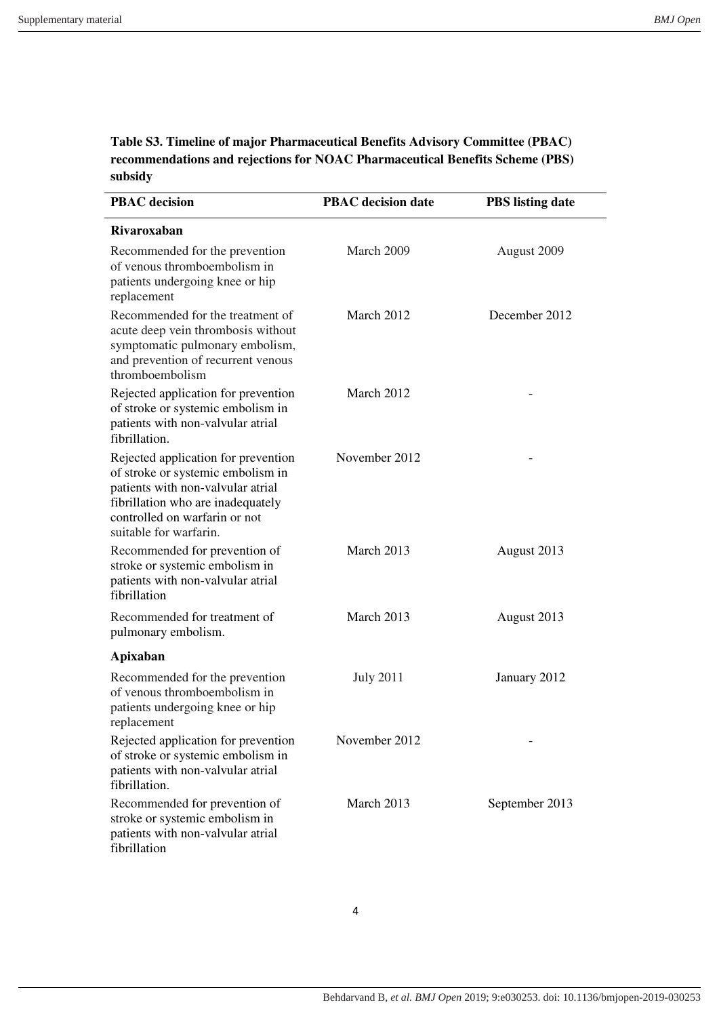**Table S3. Timeline of major Pharmaceutical Benefits Advisory Committee (PBAC) recommendations and rejections for NOAC Pharmaceutical Benefits Scheme (PBS) subsidy**

| <b>PBAC</b> decision                                                                                                                                                                                          | <b>PBAC</b> decision date | <b>PBS</b> listing date |  |  |  |
|---------------------------------------------------------------------------------------------------------------------------------------------------------------------------------------------------------------|---------------------------|-------------------------|--|--|--|
| <b>Rivaroxaban</b>                                                                                                                                                                                            |                           |                         |  |  |  |
| Recommended for the prevention<br>of venous thromboembolism in<br>patients undergoing knee or hip<br>replacement                                                                                              | March 2009                | August 2009             |  |  |  |
| Recommended for the treatment of<br>acute deep vein thrombosis without<br>symptomatic pulmonary embolism,<br>and prevention of recurrent venous<br>thromboembolism                                            | March 2012                | December 2012           |  |  |  |
| Rejected application for prevention<br>of stroke or systemic embolism in<br>patients with non-valvular atrial<br>fibrillation.                                                                                | March 2012                |                         |  |  |  |
| Rejected application for prevention<br>of stroke or systemic embolism in<br>patients with non-valvular atrial<br>fibrillation who are inadequately<br>controlled on warfarin or not<br>suitable for warfarin. | November 2012             |                         |  |  |  |
| Recommended for prevention of<br>stroke or systemic embolism in<br>patients with non-valvular atrial<br>fibrillation                                                                                          | March 2013                | August 2013             |  |  |  |
| Recommended for treatment of<br>pulmonary embolism.                                                                                                                                                           | March 2013                | August 2013             |  |  |  |
| Apixaban                                                                                                                                                                                                      |                           |                         |  |  |  |
| Recommended for the prevention<br>of venous thromboembolism in<br>patients undergoing knee or hip<br>replacement                                                                                              | <b>July 2011</b>          | January 2012            |  |  |  |
| Rejected application for prevention<br>of stroke or systemic embolism in<br>patients with non-valvular atrial<br>fibrillation.                                                                                | November 2012             |                         |  |  |  |
| Recommended for prevention of<br>stroke or systemic embolism in<br>patients with non-valvular atrial<br>fibrillation                                                                                          | March 2013                | September 2013          |  |  |  |